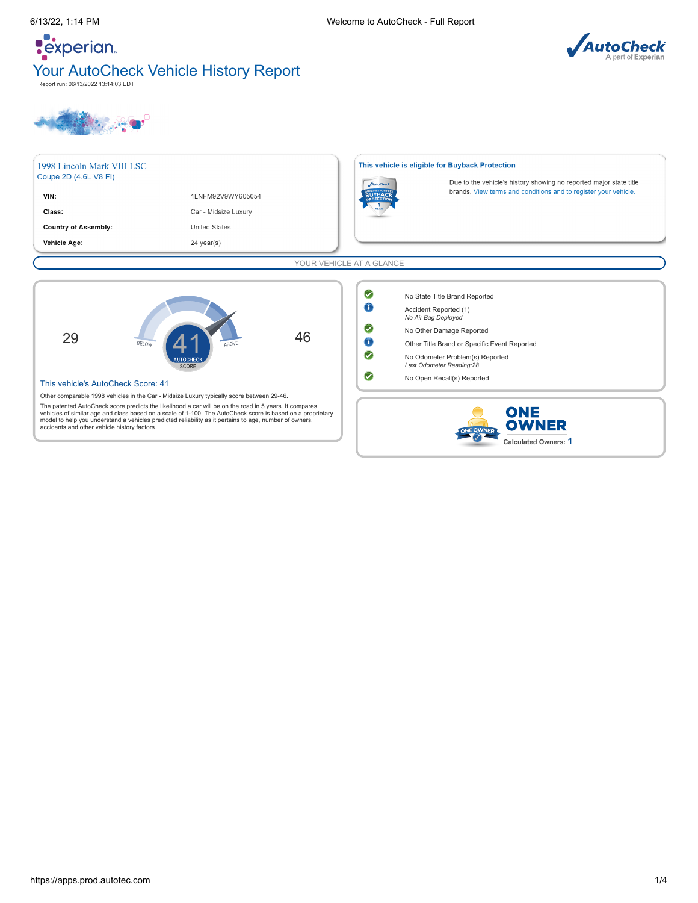# **Pexperian** Your AutoCheck Vehicle History Report Report run: 06/13/2022 13:14:03 EDT



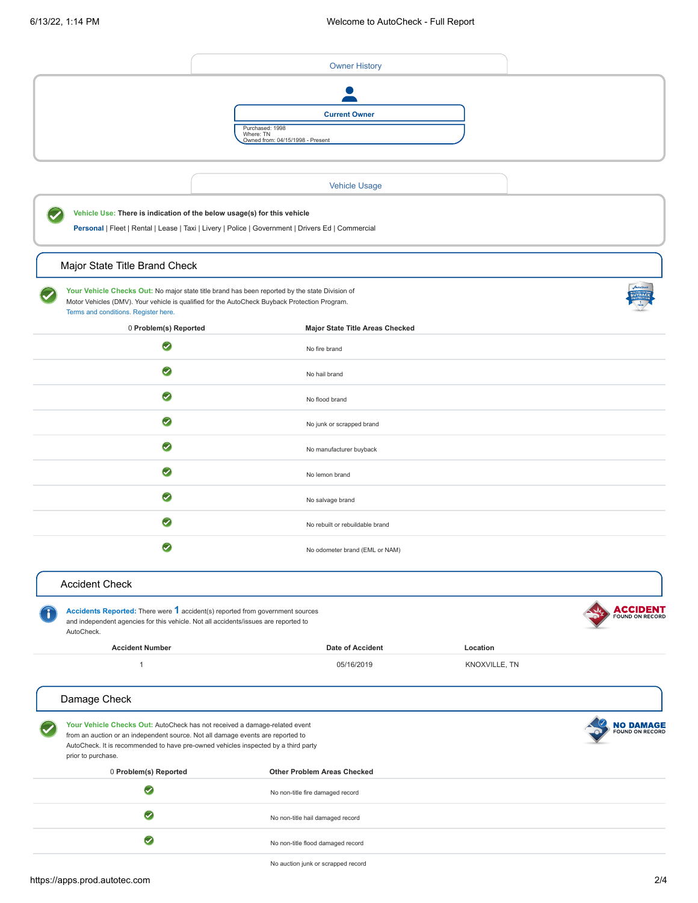<span id="page-1-6"></span><span id="page-1-5"></span><span id="page-1-4"></span><span id="page-1-3"></span><span id="page-1-2"></span><span id="page-1-1"></span><span id="page-1-0"></span>

|                                                                                                                                                                                                                                                                           | <b>Owner History</b>                                                                              |               |                                     |
|---------------------------------------------------------------------------------------------------------------------------------------------------------------------------------------------------------------------------------------------------------------------------|---------------------------------------------------------------------------------------------------|---------------|-------------------------------------|
|                                                                                                                                                                                                                                                                           | <b>Current Owner</b><br>Purchased: 1998<br>Where: TN<br>Owned from: 04/15/1998 - Present          |               |                                     |
|                                                                                                                                                                                                                                                                           | <b>Vehicle Usage</b>                                                                              |               |                                     |
| Vehicle Use: There is indication of the below usage(s) for this vehicle                                                                                                                                                                                                   | Personal   Fleet   Rental   Lease   Taxi   Livery   Police   Government   Drivers Ed   Commercial |               |                                     |
| Major State Title Brand Check                                                                                                                                                                                                                                             |                                                                                                   |               |                                     |
| Your Vehicle Checks Out: No major state title brand has been reported by the state Division of<br>Motor Vehicles (DMV). Your vehicle is qualified for the AutoCheck Buyback Protection Program.<br>Terms and conditions. Register here.                                   |                                                                                                   |               |                                     |
| 0 Problem(s) Reported                                                                                                                                                                                                                                                     | <b>Major State Title Areas Checked</b>                                                            |               |                                     |
| $\boldsymbol{\omega}$                                                                                                                                                                                                                                                     | No fire brand                                                                                     |               |                                     |
| $\bullet$                                                                                                                                                                                                                                                                 | No hail brand                                                                                     |               |                                     |
| 0                                                                                                                                                                                                                                                                         | No flood brand                                                                                    |               |                                     |
| $\bm{\triangledown}$                                                                                                                                                                                                                                                      | No junk or scrapped brand                                                                         |               |                                     |
| $\bullet$                                                                                                                                                                                                                                                                 | No manufacturer buyback                                                                           |               |                                     |
| $\bullet$                                                                                                                                                                                                                                                                 | No lemon brand                                                                                    |               |                                     |
| $\bullet$                                                                                                                                                                                                                                                                 | No salvage brand                                                                                  |               |                                     |
| $\omega$                                                                                                                                                                                                                                                                  | No rebuilt or rebuildable brand                                                                   |               |                                     |
| $\blacktriangledown$                                                                                                                                                                                                                                                      | No odometer brand (EML or NAM)                                                                    |               |                                     |
| <b>Accident Check</b>                                                                                                                                                                                                                                                     |                                                                                                   |               |                                     |
| Accidents Reported: There were 1 accident(s) reported from government sources<br>and independent agencies for this vehicle. Not all accidents/issues are reported to<br>AutoCheck.                                                                                        |                                                                                                   |               | <b>ACCIDENT</b>                     |
| <b>Accident Number</b>                                                                                                                                                                                                                                                    | <b>Date of Accident</b>                                                                           | Location      |                                     |
| $\mathbf{1}$                                                                                                                                                                                                                                                              | 05/16/2019                                                                                        | KNOXVILLE, TN |                                     |
| Damage Check                                                                                                                                                                                                                                                              |                                                                                                   |               |                                     |
| Your Vehicle Checks Out: AutoCheck has not received a damage-related event<br>from an auction or an independent source. Not all damage events are reported to<br>AutoCheck. It is recommended to have pre-owned vehicles inspected by a third party<br>prior to purchase. |                                                                                                   |               | <b>NO DAMAGE</b><br>FOUND ON RECORD |
| 0 Problem(s) Reported                                                                                                                                                                                                                                                     | Other Problem Areas Checked                                                                       |               |                                     |
| $\bm{\triangledown}$                                                                                                                                                                                                                                                      | No non-title fire damaged record                                                                  |               |                                     |
| $\blacktriangledown$                                                                                                                                                                                                                                                      | No non-title hail damaged record                                                                  |               |                                     |
| $\bullet$                                                                                                                                                                                                                                                                 | No non-title flood damaged record                                                                 |               |                                     |
|                                                                                                                                                                                                                                                                           |                                                                                                   |               |                                     |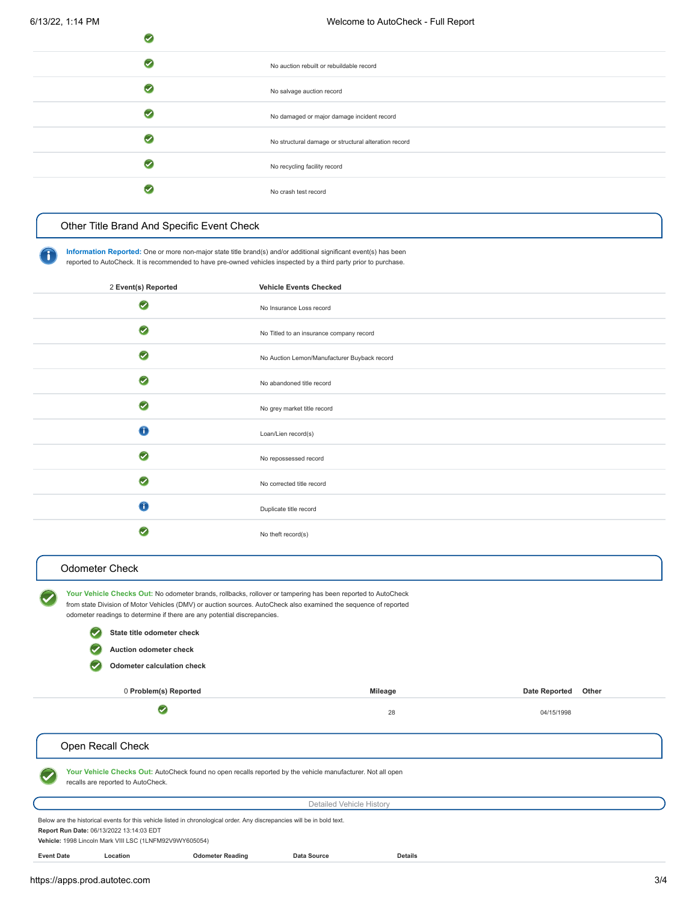| __ |                                                      |
|----|------------------------------------------------------|
|    | No auction rebuilt or rebuildable record             |
|    | No salvage auction record                            |
|    | No damaged or major damage incident record           |
|    | No structural damage or structural alteration record |
|    | No recycling facility record                         |
|    | No crash test record                                 |
|    |                                                      |

# <span id="page-2-0"></span>[Other Title Brand And Specific Event Check](#page-2-3)

 $\bullet$ 

**Information Reported:** One or more non-major state title brand(s) and/or additional significant event(s) has been reported to AutoCheck. It is recommended to have pre-owned vehicles inspected by a third party prior to purchase.

<span id="page-2-3"></span>

| 2 Event(s) Reported | <b>Vehicle Events Checked</b>                |
|---------------------|----------------------------------------------|
| $\bullet$           | No Insurance Loss record                     |
| $\bullet$           | No Titled to an insurance company record     |
| $\bullet$           | No Auction Lemon/Manufacturer Buyback record |
| $\bullet$           | No abandoned title record                    |
| $\bullet$           | No grey market title record                  |
| $\bigcap$           | Loan/Lien record(s)                          |
| $\bullet$           | No repossessed record                        |
| $\bullet$           | No corrected title record                    |
| $\bigcirc$          | Duplicate title record                       |
|                     | No theft record(s)                           |

### <span id="page-2-1"></span>[Odometer Check](#page-2-4)

**Your Vehicle Checks Out:** No odometer brands, rollbacks, rollover or tampering has been reported to AutoCheck from state Division of Motor Vehicles (DMV) or auction sources. AutoCheck also examined the sequence of reported odometer readings to determine if there are any potential discrepancies. **State title odometer check**  $\bullet$ 

> Q **Auction odometer check**

> > **Odometer calculation check**

0 **Problem(s) Reported Mileage Date Reported Other**

 $\bullet$ 

28 04/15/1998

# <span id="page-2-4"></span><span id="page-2-2"></span>Open Recall Check

**Your Vehicle Checks Out:** AutoCheck found no open recalls reported by the vehicle manufacturer. Not all open recalls are reported to AutoCheck.

<span id="page-2-5"></span>**Event Date Location Odometer Reading Data Source Details**

| Detailed Vehicle History                                                                                                |
|-------------------------------------------------------------------------------------------------------------------------|
| Below are the historical events for this vehicle listed in chronological order. Any discrepancies will be in bold text. |
| Report Run Date: 06/13/2022 13:14:03 EDT                                                                                |
| Vehicle: 1998 Lincoln Mark VIII LSC (1LNFM92V9WY605054)                                                                 |